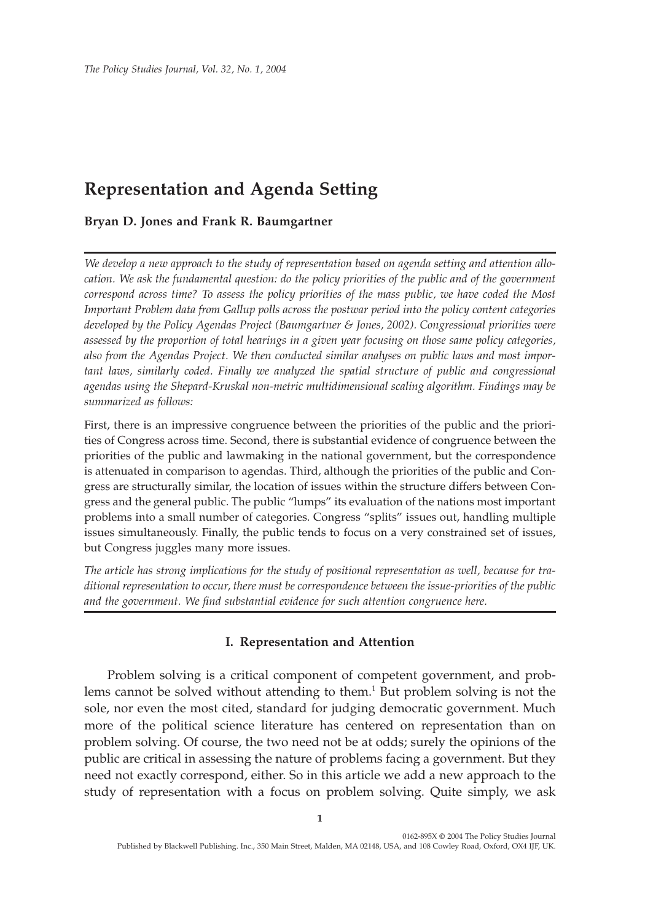# **Representation and Agenda Setting**

## **Bryan D. Jones and Frank R. Baumgartner**

*We develop a new approach to the study of representation based on agenda setting and attention allocation. We ask the fundamental question: do the policy priorities of the public and of the government correspond across time? To assess the policy priorities of the mass public, we have coded the Most Important Problem data from Gallup polls across the postwar period into the policy content categories developed by the Policy Agendas Project (Baumgartner & Jones, 2002). Congressional priorities were assessed by the proportion of total hearings in a given year focusing on those same policy categories, also from the Agendas Project. We then conducted similar analyses on public laws and most important laws, similarly coded. Finally we analyzed the spatial structure of public and congressional agendas using the Shepard-Kruskal non-metric multidimensional scaling algorithm. Findings may be summarized as follows:*

First, there is an impressive congruence between the priorities of the public and the priorities of Congress across time. Second, there is substantial evidence of congruence between the priorities of the public and lawmaking in the national government, but the correspondence is attenuated in comparison to agendas. Third, although the priorities of the public and Congress are structurally similar, the location of issues within the structure differs between Congress and the general public. The public "lumps" its evaluation of the nations most important problems into a small number of categories. Congress "splits" issues out, handling multiple issues simultaneously. Finally, the public tends to focus on a very constrained set of issues, but Congress juggles many more issues.

*The article has strong implications for the study of positional representation as well, because for traditional representation to occur, there must be correspondence between the issue-priorities of the public and the government. We find substantial evidence for such attention congruence here.*

## **I. Representation and Attention**

Problem solving is a critical component of competent government, and problems cannot be solved without attending to them.<sup>1</sup> But problem solving is not the sole, nor even the most cited, standard for judging democratic government. Much more of the political science literature has centered on representation than on problem solving. Of course, the two need not be at odds; surely the opinions of the public are critical in assessing the nature of problems facing a government. But they need not exactly correspond, either. So in this article we add a new approach to the study of representation with a focus on problem solving. Quite simply, we ask

0162-895X © 2004 The Policy Studies Journal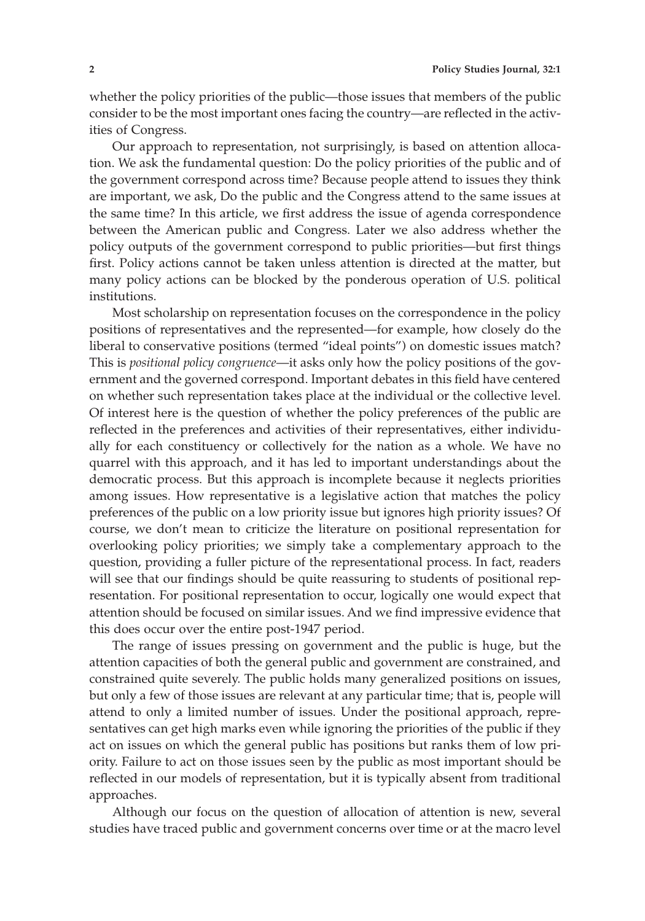whether the policy priorities of the public—those issues that members of the public consider to be the most important ones facing the country—are reflected in the activities of Congress.

Our approach to representation, not surprisingly, is based on attention allocation. We ask the fundamental question: Do the policy priorities of the public and of the government correspond across time? Because people attend to issues they think are important, we ask, Do the public and the Congress attend to the same issues at the same time? In this article, we first address the issue of agenda correspondence between the American public and Congress. Later we also address whether the policy outputs of the government correspond to public priorities—but first things first. Policy actions cannot be taken unless attention is directed at the matter, but many policy actions can be blocked by the ponderous operation of U.S. political institutions.

Most scholarship on representation focuses on the correspondence in the policy positions of representatives and the represented—for example, how closely do the liberal to conservative positions (termed "ideal points") on domestic issues match? This is *positional policy congruence*—it asks only how the policy positions of the government and the governed correspond. Important debates in this field have centered on whether such representation takes place at the individual or the collective level. Of interest here is the question of whether the policy preferences of the public are reflected in the preferences and activities of their representatives, either individually for each constituency or collectively for the nation as a whole. We have no quarrel with this approach, and it has led to important understandings about the democratic process. But this approach is incomplete because it neglects priorities among issues. How representative is a legislative action that matches the policy preferences of the public on a low priority issue but ignores high priority issues? Of course, we don't mean to criticize the literature on positional representation for overlooking policy priorities; we simply take a complementary approach to the question, providing a fuller picture of the representational process. In fact, readers will see that our findings should be quite reassuring to students of positional representation. For positional representation to occur, logically one would expect that attention should be focused on similar issues. And we find impressive evidence that this does occur over the entire post-1947 period.

The range of issues pressing on government and the public is huge, but the attention capacities of both the general public and government are constrained, and constrained quite severely. The public holds many generalized positions on issues, but only a few of those issues are relevant at any particular time; that is, people will attend to only a limited number of issues. Under the positional approach, representatives can get high marks even while ignoring the priorities of the public if they act on issues on which the general public has positions but ranks them of low priority. Failure to act on those issues seen by the public as most important should be reflected in our models of representation, but it is typically absent from traditional approaches.

Although our focus on the question of allocation of attention is new, several studies have traced public and government concerns over time or at the macro level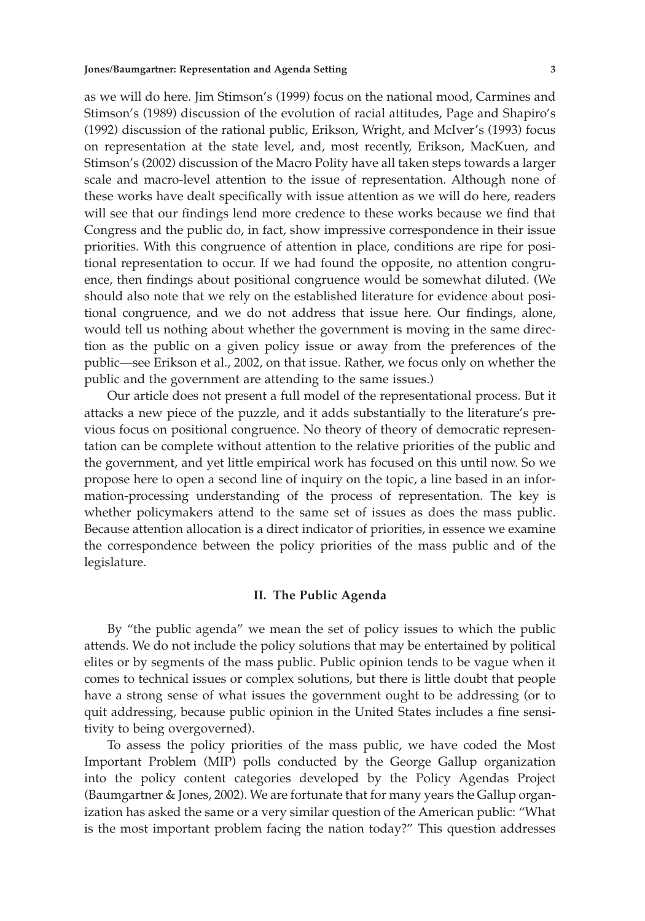as we will do here. Jim Stimson's (1999) focus on the national mood, Carmines and Stimson's (1989) discussion of the evolution of racial attitudes, Page and Shapiro's (1992) discussion of the rational public, Erikson, Wright, and McIver's (1993) focus on representation at the state level, and, most recently, Erikson, MacKuen, and Stimson's (2002) discussion of the Macro Polity have all taken steps towards a larger scale and macro-level attention to the issue of representation. Although none of these works have dealt specifically with issue attention as we will do here, readers will see that our findings lend more credence to these works because we find that Congress and the public do, in fact, show impressive correspondence in their issue priorities. With this congruence of attention in place, conditions are ripe for positional representation to occur. If we had found the opposite, no attention congruence, then findings about positional congruence would be somewhat diluted. (We should also note that we rely on the established literature for evidence about positional congruence, and we do not address that issue here. Our findings, alone, would tell us nothing about whether the government is moving in the same direction as the public on a given policy issue or away from the preferences of the public—see Erikson et al., 2002, on that issue. Rather, we focus only on whether the public and the government are attending to the same issues.)

Our article does not present a full model of the representational process. But it attacks a new piece of the puzzle, and it adds substantially to the literature's previous focus on positional congruence. No theory of theory of democratic representation can be complete without attention to the relative priorities of the public and the government, and yet little empirical work has focused on this until now. So we propose here to open a second line of inquiry on the topic, a line based in an information-processing understanding of the process of representation. The key is whether policymakers attend to the same set of issues as does the mass public. Because attention allocation is a direct indicator of priorities, in essence we examine the correspondence between the policy priorities of the mass public and of the legislature.

#### **II. The Public Agenda**

By "the public agenda" we mean the set of policy issues to which the public attends. We do not include the policy solutions that may be entertained by political elites or by segments of the mass public. Public opinion tends to be vague when it comes to technical issues or complex solutions, but there is little doubt that people have a strong sense of what issues the government ought to be addressing (or to quit addressing, because public opinion in the United States includes a fine sensitivity to being overgoverned).

To assess the policy priorities of the mass public, we have coded the Most Important Problem (MIP) polls conducted by the George Gallup organization into the policy content categories developed by the Policy Agendas Project (Baumgartner & Jones, 2002). We are fortunate that for many years the Gallup organization has asked the same or a very similar question of the American public: "What is the most important problem facing the nation today?" This question addresses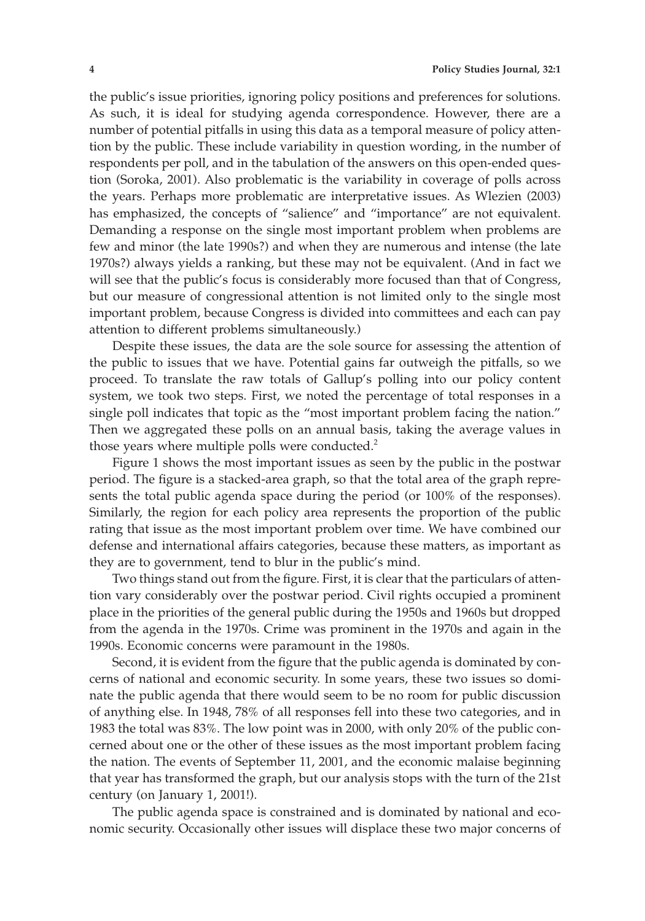the public's issue priorities, ignoring policy positions and preferences for solutions. As such, it is ideal for studying agenda correspondence. However, there are a number of potential pitfalls in using this data as a temporal measure of policy attention by the public. These include variability in question wording, in the number of respondents per poll, and in the tabulation of the answers on this open-ended question (Soroka, 2001). Also problematic is the variability in coverage of polls across the years. Perhaps more problematic are interpretative issues. As Wlezien (2003) has emphasized, the concepts of "salience" and "importance" are not equivalent. Demanding a response on the single most important problem when problems are few and minor (the late 1990s?) and when they are numerous and intense (the late 1970s?) always yields a ranking, but these may not be equivalent. (And in fact we will see that the public's focus is considerably more focused than that of Congress, but our measure of congressional attention is not limited only to the single most important problem, because Congress is divided into committees and each can pay attention to different problems simultaneously.)

Despite these issues, the data are the sole source for assessing the attention of the public to issues that we have. Potential gains far outweigh the pitfalls, so we proceed. To translate the raw totals of Gallup's polling into our policy content system, we took two steps. First, we noted the percentage of total responses in a single poll indicates that topic as the "most important problem facing the nation." Then we aggregated these polls on an annual basis, taking the average values in those years where multiple polls were conducted.<sup>2</sup>

Figure 1 shows the most important issues as seen by the public in the postwar period. The figure is a stacked-area graph, so that the total area of the graph represents the total public agenda space during the period (or 100% of the responses). Similarly, the region for each policy area represents the proportion of the public rating that issue as the most important problem over time. We have combined our defense and international affairs categories, because these matters, as important as they are to government, tend to blur in the public's mind.

Two things stand out from the figure. First, it is clear that the particulars of attention vary considerably over the postwar period. Civil rights occupied a prominent place in the priorities of the general public during the 1950s and 1960s but dropped from the agenda in the 1970s. Crime was prominent in the 1970s and again in the 1990s. Economic concerns were paramount in the 1980s.

Second, it is evident from the figure that the public agenda is dominated by concerns of national and economic security. In some years, these two issues so dominate the public agenda that there would seem to be no room for public discussion of anything else. In 1948, 78% of all responses fell into these two categories, and in 1983 the total was 83%. The low point was in 2000, with only 20% of the public concerned about one or the other of these issues as the most important problem facing the nation. The events of September 11, 2001, and the economic malaise beginning that year has transformed the graph, but our analysis stops with the turn of the 21st century (on January 1, 2001!).

The public agenda space is constrained and is dominated by national and economic security. Occasionally other issues will displace these two major concerns of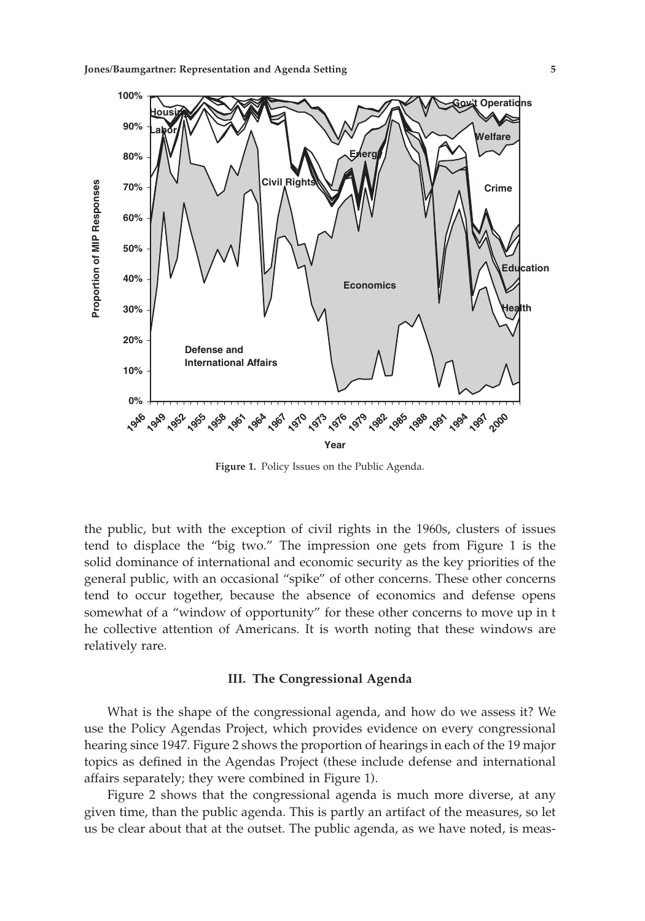

**Figure 1.** Policy Issues on the Public Agenda.

the public, but with the exception of civil rights in the 1960s, clusters of issues tend to displace the "big two." The impression one gets from Figure 1 is the solid dominance of international and economic security as the key priorities of the general public, with an occasional "spike" of other concerns. These other concerns tend to occur together, because the absence of economics and defense opens somewhat of a "window of opportunity" for these other concerns to move up in t he collective attention of Americans. It is worth noting that these windows are relatively rare.

#### **III. The Congressional Agenda**

What is the shape of the congressional agenda, and how do we assess it? We use the Policy Agendas Project, which provides evidence on every congressional hearing since 1947. Figure 2 shows the proportion of hearings in each of the 19 major topics as defined in the Agendas Project (these include defense and international affairs separately; they were combined in Figure 1).

Figure 2 shows that the congressional agenda is much more diverse, at any given time, than the public agenda. This is partly an artifact of the measures, so let us be clear about that at the outset. The public agenda, as we have noted, is meas-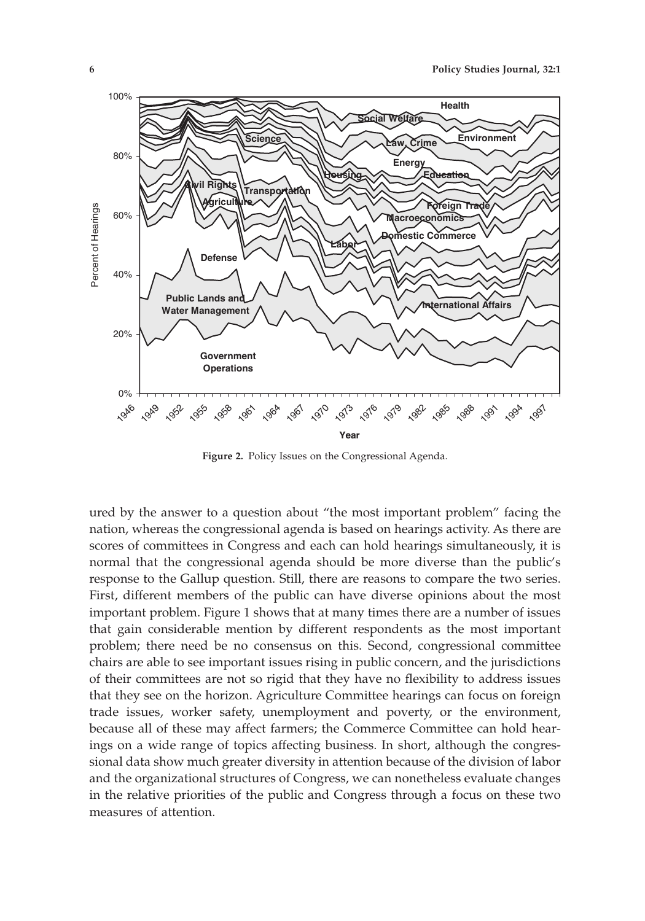

**Figure 2.** Policy Issues on the Congressional Agenda.

ured by the answer to a question about "the most important problem" facing the nation, whereas the congressional agenda is based on hearings activity. As there are scores of committees in Congress and each can hold hearings simultaneously, it is normal that the congressional agenda should be more diverse than the public's response to the Gallup question. Still, there are reasons to compare the two series. First, different members of the public can have diverse opinions about the most important problem. Figure 1 shows that at many times there are a number of issues that gain considerable mention by different respondents as the most important problem; there need be no consensus on this. Second, congressional committee chairs are able to see important issues rising in public concern, and the jurisdictions of their committees are not so rigid that they have no flexibility to address issues that they see on the horizon. Agriculture Committee hearings can focus on foreign trade issues, worker safety, unemployment and poverty, or the environment, because all of these may affect farmers; the Commerce Committee can hold hearings on a wide range of topics affecting business. In short, although the congressional data show much greater diversity in attention because of the division of labor and the organizational structures of Congress, we can nonetheless evaluate changes in the relative priorities of the public and Congress through a focus on these two measures of attention.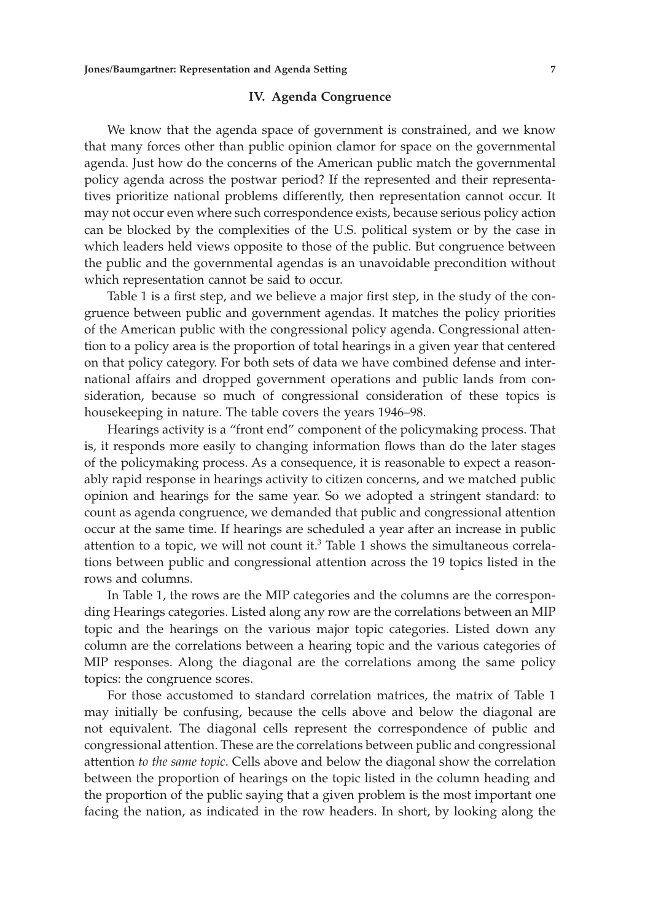## **IV. Agenda Congruence**

We know that the agenda space of government is constrained, and we know that many forces other than public opinion clamor for space on the governmental agenda. Just how do the concerns of the American public match the governmental policy agenda across the postwar period? If the represented and their representatives prioritize national problems differently, then representation cannot occur. It may not occur even where such correspondence exists, because serious policy action can be blocked by the complexities of the U.S. political system or by the case in which leaders held views opposite to those of the public. But congruence between the public and the governmental agendas is an unavoidable precondition without which representation cannot be said to occur.

Table 1 is a first step, and we believe a major first step, in the study of the congruence between public and government agendas. It matches the policy priorities of the American public with the congressional policy agenda. Congressional attention to a policy area is the proportion of total hearings in a given year that centered on that policy category. For both sets of data we have combined defense and international affairs and dropped government operations and public lands from consideration, because so much of congressional consideration of these topics is housekeeping in nature. The table covers the years 1946–98.

Hearings activity is a "front end" component of the policymaking process. That is, it responds more easily to changing information flows than do the later stages of the policymaking process. As a consequence, it is reasonable to expect a reasonably rapid response in hearings activity to citizen concerns, and we matched public opinion and hearings for the same year. So we adopted a stringent standard: to count as agenda congruence, we demanded that public and congressional attention occur at the same time. If hearings are scheduled a year after an increase in public attention to a topic, we will not count it.<sup>3</sup> Table 1 shows the simultaneous correlations between public and congressional attention across the 19 topics listed in the rows and columns.

In Table 1, the rows are the MIP categories and the columns are the corresponding Hearings categories. Listed along any row are the correlations between an MIP topic and the hearings on the various major topic categories. Listed down any column are the correlations between a hearing topic and the various categories of MIP responses. Along the diagonal are the correlations among the same policy topics: the congruence scores.

For those accustomed to standard correlation matrices, the matrix of Table 1 may initially be confusing, because the cells above and below the diagonal are not equivalent. The diagonal cells represent the correspondence of public and congressional attention. These are the correlations between public and congressional attention *to the same topic*. Cells above and below the diagonal show the correlation between the proportion of hearings on the topic listed in the column heading and the proportion of the public saying that a given problem is the most important one facing the nation, as indicated in the row headers. In short, by looking along the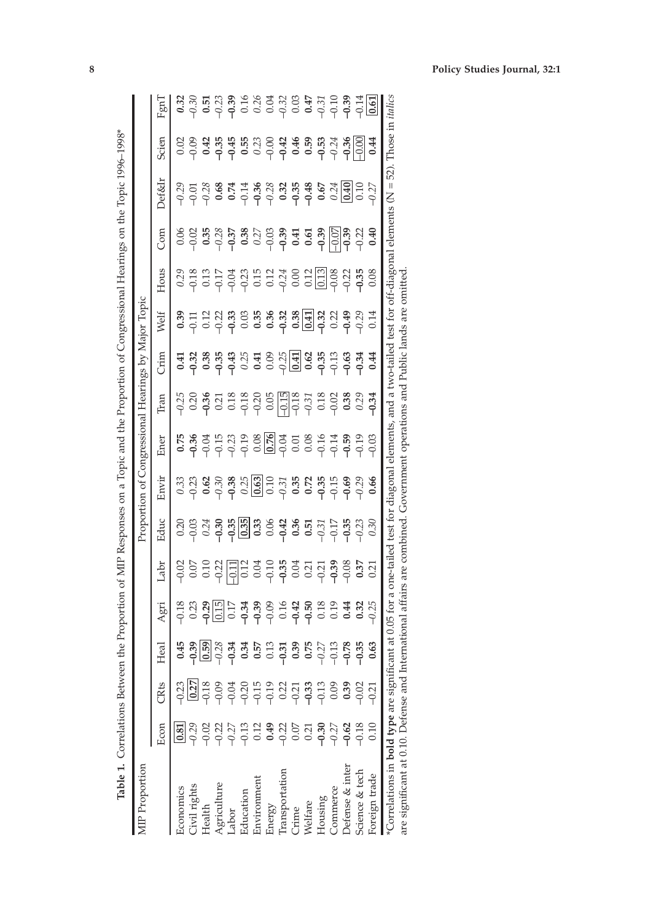| <b>MIP</b> Proportion                  |         |                                                                                                                                                                                                                                                                                                                                                                                      |      |                                                           |                                                                         |      |       | Proportion of Congressional Hearings by            |             |      | Major Topic                                                             |                                                                                                                                                                                                                                                                                                                                                                                                                                                                     |     |                                                                                                                         |       |                                                                                                                                                                                                                                                                                                                                    |
|----------------------------------------|---------|--------------------------------------------------------------------------------------------------------------------------------------------------------------------------------------------------------------------------------------------------------------------------------------------------------------------------------------------------------------------------------------|------|-----------------------------------------------------------|-------------------------------------------------------------------------|------|-------|----------------------------------------------------|-------------|------|-------------------------------------------------------------------------|---------------------------------------------------------------------------------------------------------------------------------------------------------------------------------------------------------------------------------------------------------------------------------------------------------------------------------------------------------------------------------------------------------------------------------------------------------------------|-----|-------------------------------------------------------------------------------------------------------------------------|-------|------------------------------------------------------------------------------------------------------------------------------------------------------------------------------------------------------------------------------------------------------------------------------------------------------------------------------------|
|                                        | Econ    | CRts                                                                                                                                                                                                                                                                                                                                                                                 | Heal | Agri                                                      | Labr                                                                    | Educ | Envir | Ener                                               | <b>Tran</b> | Crim | Welf                                                                    | Hous                                                                                                                                                                                                                                                                                                                                                                                                                                                                | Com | <b>Def&amp;Ir</b>                                                                                                       | Scien | FgnT                                                                                                                                                                                                                                                                                                                               |
| Economics                              | 0.81    | 0.23                                                                                                                                                                                                                                                                                                                                                                                 |      | $-0.18$                                                   | 0.02                                                                    |      |       |                                                    |             |      |                                                                         |                                                                                                                                                                                                                                                                                                                                                                                                                                                                     |     |                                                                                                                         |       |                                                                                                                                                                                                                                                                                                                                    |
| Tivil rights                           |         |                                                                                                                                                                                                                                                                                                                                                                                      |      |                                                           |                                                                         |      |       |                                                    |             |      | 8<br>8 = 2 8 8 9 8 8 8 8 9 9 9 9 8 9 9<br>9 = 2 9 9 9 9 9 9 9 9 9 9 9 9 | $\begin{array}{ccccccccc} \mathcal{Z}_1 & \mathcal{Z}_2 & \mathcal{Z}_3 & \mathcal{Z}_4 & \mathcal{Z}_5 & \mathcal{Z}_6 & \mathcal{Z}_7 & \mathcal{Z}_7 & \mathcal{Z}_8 & \mathcal{Z}_7 & \mathcal{Z}_7 & \mathcal{Z}_8 & \mathcal{Z}_7 & \mathcal{Z}_7 & \mathcal{Z}_8 & \mathcal{Z}_7 & \mathcal{Z}_7 & \mathcal{Z}_8 & \mathcal{Z}_7 & \mathcal{Z}_7 & \mathcal{Z}_7 & \mathcal{Z}_8 & \mathcal{Z}_7 & \mathcal{Z}_7 & \mathcal{Z}_7 & \mathcal{Z}_7 & \mathcal$ |     |                                                                                                                         |       | $\begin{array}{c} \n 8.96 \\   9.97 \\   9.97 \\   9.97 \\   9.97 \\   9.97 \\   9.97 \\   9.97 \\   9.97 \\   9.97 \\   9.97 \\   9.97 \\   9.97 \\   9.97 \\   9.97 \\   9.97 \\   9.97 \\   9.97 \\   9.97 \\   9.97 \\   9.97 \\   9.97 \\   9.97 \\   9.97 \\   9.97 \\   9.97 \\   9.97 \\   9.97 \\   9.97 \\   9.97 \\   $ |
| Health                                 |         |                                                                                                                                                                                                                                                                                                                                                                                      |      |                                                           |                                                                         |      |       |                                                    |             |      |                                                                         |                                                                                                                                                                                                                                                                                                                                                                                                                                                                     |     |                                                                                                                         |       |                                                                                                                                                                                                                                                                                                                                    |
| Agriculture                            | $-0.22$ | 0.09                                                                                                                                                                                                                                                                                                                                                                                 |      |                                                           |                                                                         |      |       |                                                    |             |      |                                                                         |                                                                                                                                                                                                                                                                                                                                                                                                                                                                     |     |                                                                                                                         |       |                                                                                                                                                                                                                                                                                                                                    |
| -abor                                  | $-0.27$ | 0.04                                                                                                                                                                                                                                                                                                                                                                                 |      |                                                           |                                                                         |      |       |                                                    |             |      |                                                                         |                                                                                                                                                                                                                                                                                                                                                                                                                                                                     |     |                                                                                                                         |       |                                                                                                                                                                                                                                                                                                                                    |
| Education                              | $-0.13$ | 0.20                                                                                                                                                                                                                                                                                                                                                                                 |      |                                                           |                                                                         |      |       |                                                    |             |      |                                                                         |                                                                                                                                                                                                                                                                                                                                                                                                                                                                     |     |                                                                                                                         |       |                                                                                                                                                                                                                                                                                                                                    |
| Environment                            | 0.12    | $-0.15$                                                                                                                                                                                                                                                                                                                                                                              |      |                                                           |                                                                         |      |       |                                                    |             |      |                                                                         |                                                                                                                                                                                                                                                                                                                                                                                                                                                                     |     |                                                                                                                         |       |                                                                                                                                                                                                                                                                                                                                    |
| Energy                                 | 0.49    |                                                                                                                                                                                                                                                                                                                                                                                      |      | $\begin{array}{c}\n3.8 \\ 0.9 \\ 0.9 \\ 0.0\n\end{array}$ | $528$ $172$ $398$ $172$ $398$ $192$ $309$ $192$ $309$ $309$ $309$ $309$ |      |       |                                                    |             |      |                                                                         |                                                                                                                                                                                                                                                                                                                                                                                                                                                                     |     |                                                                                                                         |       |                                                                                                                                                                                                                                                                                                                                    |
| ransportation                          | $-0.22$ |                                                                                                                                                                                                                                                                                                                                                                                      |      |                                                           |                                                                         |      |       |                                                    |             |      |                                                                         |                                                                                                                                                                                                                                                                                                                                                                                                                                                                     |     |                                                                                                                         |       |                                                                                                                                                                                                                                                                                                                                    |
| Crime                                  | 0.07    | $\begin{array}{ccc}\n 9 & 21 & 36 \\  - & 34 & 36 \\  - & 36 & 36 \\  \hline\n 7 & 36 & 36 \\  \hline\n 1 & 36 & 36 \\  \hline\n 1 & 36 & 36 \\  \hline\n 1 & 36 & 36 \\  \hline\n 1 & 36 & 36 \\  \hline\n 1 & 36 & 36 \\  \hline\n 1 & 36 & 36 \\  \hline\n 1 & 36 & 36 \\  \hline\n 1 & 36 & 36 \\  \hline\n 1 & 36 & 36 \\  \hline\n 1 & 36 & 36 \\  \hline\n 1 & 36 & 36 \\  \$ |      |                                                           |                                                                         |      |       |                                                    |             |      |                                                                         |                                                                                                                                                                                                                                                                                                                                                                                                                                                                     |     |                                                                                                                         |       |                                                                                                                                                                                                                                                                                                                                    |
| Welfare                                | 0.21    |                                                                                                                                                                                                                                                                                                                                                                                      |      |                                                           |                                                                         |      |       |                                                    |             |      |                                                                         |                                                                                                                                                                                                                                                                                                                                                                                                                                                                     |     |                                                                                                                         |       |                                                                                                                                                                                                                                                                                                                                    |
| Housing                                | $-0.30$ |                                                                                                                                                                                                                                                                                                                                                                                      |      |                                                           |                                                                         |      |       |                                                    |             |      |                                                                         |                                                                                                                                                                                                                                                                                                                                                                                                                                                                     |     |                                                                                                                         |       |                                                                                                                                                                                                                                                                                                                                    |
| Commerce                               | $-0.27$ |                                                                                                                                                                                                                                                                                                                                                                                      |      |                                                           |                                                                         |      |       |                                                    |             |      |                                                                         |                                                                                                                                                                                                                                                                                                                                                                                                                                                                     |     |                                                                                                                         |       |                                                                                                                                                                                                                                                                                                                                    |
| Defense & inter                        | $-0.62$ | 0.39                                                                                                                                                                                                                                                                                                                                                                                 |      |                                                           |                                                                         |      |       |                                                    |             |      |                                                                         |                                                                                                                                                                                                                                                                                                                                                                                                                                                                     |     |                                                                                                                         |       |                                                                                                                                                                                                                                                                                                                                    |
| Science & tech                         | $-0.18$ | $-0.02$                                                                                                                                                                                                                                                                                                                                                                              |      |                                                           | $0.37$<br>$0.21$                                                        |      |       |                                                    |             |      |                                                                         |                                                                                                                                                                                                                                                                                                                                                                                                                                                                     |     |                                                                                                                         |       |                                                                                                                                                                                                                                                                                                                                    |
| Foreign trade                          | 0.10    |                                                                                                                                                                                                                                                                                                                                                                                      | 0.63 |                                                           |                                                                         | 0.3C |       | $-0.03$                                            |             |      |                                                                         |                                                                                                                                                                                                                                                                                                                                                                                                                                                                     |     |                                                                                                                         |       |                                                                                                                                                                                                                                                                                                                                    |
| Correlations in bold type are signifi- |         |                                                                                                                                                                                                                                                                                                                                                                                      |      |                                                           |                                                                         |      |       |                                                    |             |      |                                                                         |                                                                                                                                                                                                                                                                                                                                                                                                                                                                     |     | cant at 0.05 for a one-tailed test for diagonal elements, and a two-tailed test for off-diagonal elements ( $N = 52$ ). | Those | in <i>italics</i>                                                                                                                                                                                                                                                                                                                  |
| are significant at 0.10. Defense and I |         |                                                                                                                                                                                                                                                                                                                                                                                      |      |                                                           | nternational attairs are combined.                                      |      |       | Government operations and Public lands are omitted |             |      |                                                                         |                                                                                                                                                                                                                                                                                                                                                                                                                                                                     |     |                                                                                                                         |       |                                                                                                                                                                                                                                                                                                                                    |

Table 1. Correlations Between the Proportion of MIP Responses on a Topic and the Proportion of Congressional Hearings on the Topic 1998\* **Table 1.** Correlations Between the Proportion of MIP Responses on a Topic and the Proportion of Congressional Hearings on the Topic 1996–1998\*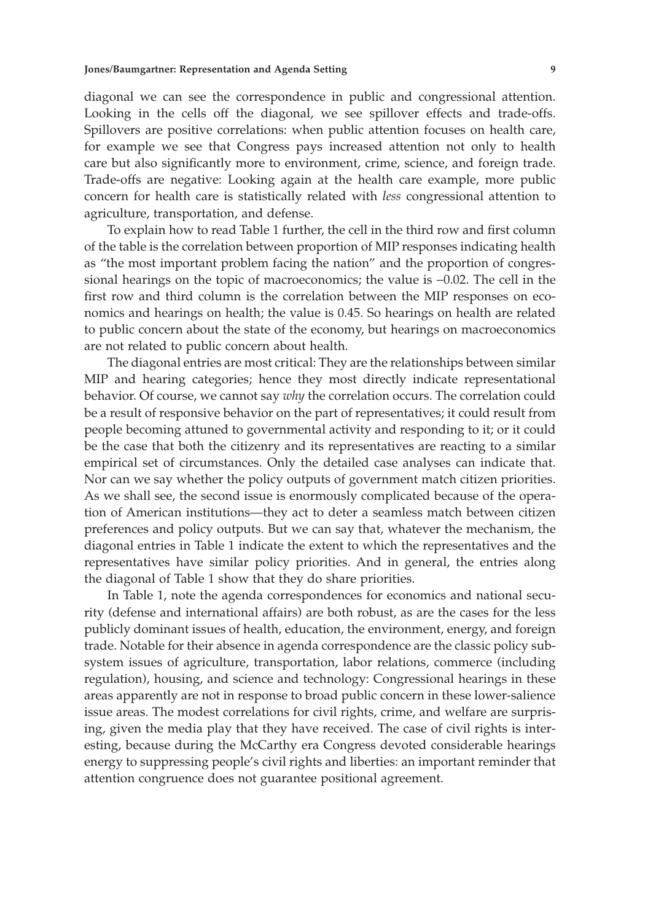diagonal we can see the correspondence in public and congressional attention. Looking in the cells off the diagonal, we see spillover effects and trade-offs. Spillovers are positive correlations: when public attention focuses on health care, for example we see that Congress pays increased attention not only to health care but also significantly more to environment, crime, science, and foreign trade. Trade-offs are negative: Looking again at the health care example, more public concern for health care is statistically related with *less* congressional attention to agriculture, transportation, and defense.

To explain how to read Table 1 further, the cell in the third row and first column of the table is the correlation between proportion of MIP responses indicating health as "the most important problem facing the nation" and the proportion of congressional hearings on the topic of macroeconomics; the value is -0.02. The cell in the first row and third column is the correlation between the MIP responses on economics and hearings on health; the value is 0.45. So hearings on health are related to public concern about the state of the economy, but hearings on macroeconomics are not related to public concern about health.

The diagonal entries are most critical: They are the relationships between similar MIP and hearing categories; hence they most directly indicate representational behavior. Of course, we cannot say *why* the correlation occurs. The correlation could be a result of responsive behavior on the part of representatives; it could result from people becoming attuned to governmental activity and responding to it; or it could be the case that both the citizenry and its representatives are reacting to a similar empirical set of circumstances. Only the detailed case analyses can indicate that. Nor can we say whether the policy outputs of government match citizen priorities. As we shall see, the second issue is enormously complicated because of the operation of American institutions—they act to deter a seamless match between citizen preferences and policy outputs. But we can say that, whatever the mechanism, the diagonal entries in Table 1 indicate the extent to which the representatives and the representatives have similar policy priorities. And in general, the entries along the diagonal of Table 1 show that they do share priorities.

In Table 1, note the agenda correspondences for economics and national security (defense and international affairs) are both robust, as are the cases for the less publicly dominant issues of health, education, the environment, energy, and foreign trade. Notable for their absence in agenda correspondence are the classic policy subsystem issues of agriculture, transportation, labor relations, commerce (including regulation), housing, and science and technology: Congressional hearings in these areas apparently are not in response to broad public concern in these lower-salience issue areas. The modest correlations for civil rights, crime, and welfare are surprising, given the media play that they have received. The case of civil rights is interesting, because during the McCarthy era Congress devoted considerable hearings energy to suppressing people's civil rights and liberties: an important reminder that attention congruence does not guarantee positional agreement.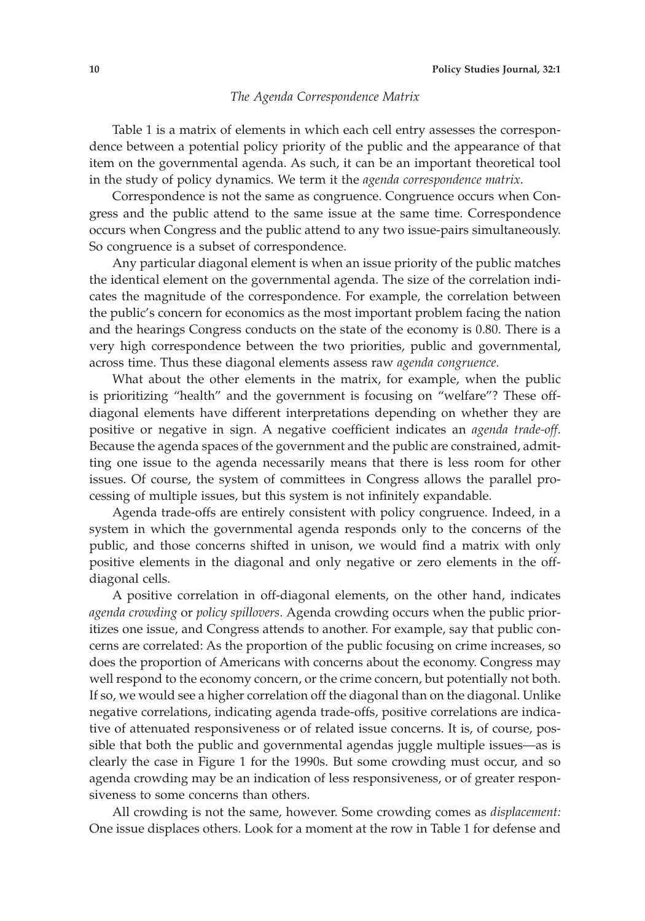#### *The Agenda Correspondence Matrix*

Table 1 is a matrix of elements in which each cell entry assesses the correspondence between a potential policy priority of the public and the appearance of that item on the governmental agenda. As such, it can be an important theoretical tool in the study of policy dynamics. We term it the *agenda correspondence matrix*.

Correspondence is not the same as congruence. Congruence occurs when Congress and the public attend to the same issue at the same time. Correspondence occurs when Congress and the public attend to any two issue-pairs simultaneously. So congruence is a subset of correspondence.

Any particular diagonal element is when an issue priority of the public matches the identical element on the governmental agenda. The size of the correlation indicates the magnitude of the correspondence. For example, the correlation between the public's concern for economics as the most important problem facing the nation and the hearings Congress conducts on the state of the economy is 0.80. There is a very high correspondence between the two priorities, public and governmental, across time. Thus these diagonal elements assess raw *agenda congruence.*

What about the other elements in the matrix, for example, when the public is prioritizing "health" and the government is focusing on "welfare"? These offdiagonal elements have different interpretations depending on whether they are positive or negative in sign. A negative coefficient indicates an *agenda trade-off*. Because the agenda spaces of the government and the public are constrained, admitting one issue to the agenda necessarily means that there is less room for other issues. Of course, the system of committees in Congress allows the parallel processing of multiple issues, but this system is not infinitely expandable.

Agenda trade-offs are entirely consistent with policy congruence. Indeed, in a system in which the governmental agenda responds only to the concerns of the public, and those concerns shifted in unison, we would find a matrix with only positive elements in the diagonal and only negative or zero elements in the offdiagonal cells.

A positive correlation in off-diagonal elements, on the other hand, indicates *agenda crowding* or *policy spillovers.* Agenda crowding occurs when the public prioritizes one issue, and Congress attends to another. For example, say that public concerns are correlated: As the proportion of the public focusing on crime increases, so does the proportion of Americans with concerns about the economy. Congress may well respond to the economy concern, or the crime concern, but potentially not both. If so, we would see a higher correlation off the diagonal than on the diagonal. Unlike negative correlations, indicating agenda trade-offs, positive correlations are indicative of attenuated responsiveness or of related issue concerns. It is, of course, possible that both the public and governmental agendas juggle multiple issues—as is clearly the case in Figure 1 for the 1990s. But some crowding must occur, and so agenda crowding may be an indication of less responsiveness, or of greater responsiveness to some concerns than others.

All crowding is not the same, however. Some crowding comes as *displacement:* One issue displaces others. Look for a moment at the row in Table 1 for defense and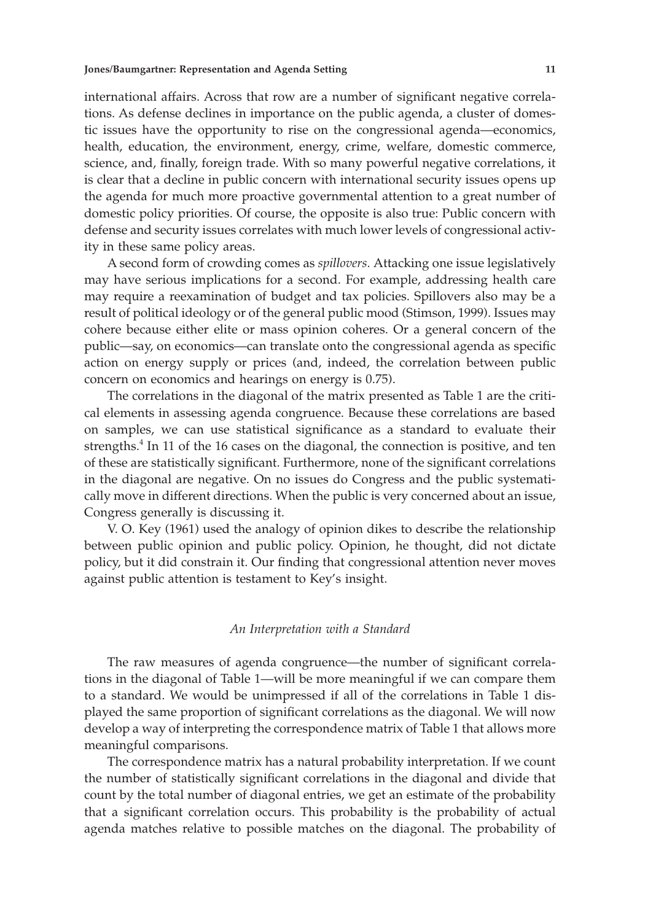international affairs. Across that row are a number of significant negative correlations. As defense declines in importance on the public agenda, a cluster of domestic issues have the opportunity to rise on the congressional agenda—economics, health, education, the environment, energy, crime, welfare, domestic commerce, science, and, finally, foreign trade. With so many powerful negative correlations, it is clear that a decline in public concern with international security issues opens up the agenda for much more proactive governmental attention to a great number of domestic policy priorities. Of course, the opposite is also true: Public concern with defense and security issues correlates with much lower levels of congressional activity in these same policy areas.

A second form of crowding comes as *spillovers.* Attacking one issue legislatively may have serious implications for a second. For example, addressing health care may require a reexamination of budget and tax policies. Spillovers also may be a result of political ideology or of the general public mood (Stimson, 1999). Issues may cohere because either elite or mass opinion coheres. Or a general concern of the public—say, on economics—can translate onto the congressional agenda as specific action on energy supply or prices (and, indeed, the correlation between public concern on economics and hearings on energy is 0.75).

The correlations in the diagonal of the matrix presented as Table 1 are the critical elements in assessing agenda congruence. Because these correlations are based on samples, we can use statistical significance as a standard to evaluate their strengths.<sup>4</sup> In 11 of the 16 cases on the diagonal, the connection is positive, and ten of these are statistically significant. Furthermore, none of the significant correlations in the diagonal are negative. On no issues do Congress and the public systematically move in different directions. When the public is very concerned about an issue, Congress generally is discussing it.

V. O. Key (1961) used the analogy of opinion dikes to describe the relationship between public opinion and public policy. Opinion, he thought, did not dictate policy, but it did constrain it. Our finding that congressional attention never moves against public attention is testament to Key's insight.

#### *An Interpretation with a Standard*

The raw measures of agenda congruence—the number of significant correlations in the diagonal of Table 1—will be more meaningful if we can compare them to a standard. We would be unimpressed if all of the correlations in Table 1 displayed the same proportion of significant correlations as the diagonal. We will now develop a way of interpreting the correspondence matrix of Table 1 that allows more meaningful comparisons.

The correspondence matrix has a natural probability interpretation. If we count the number of statistically significant correlations in the diagonal and divide that count by the total number of diagonal entries, we get an estimate of the probability that a significant correlation occurs. This probability is the probability of actual agenda matches relative to possible matches on the diagonal. The probability of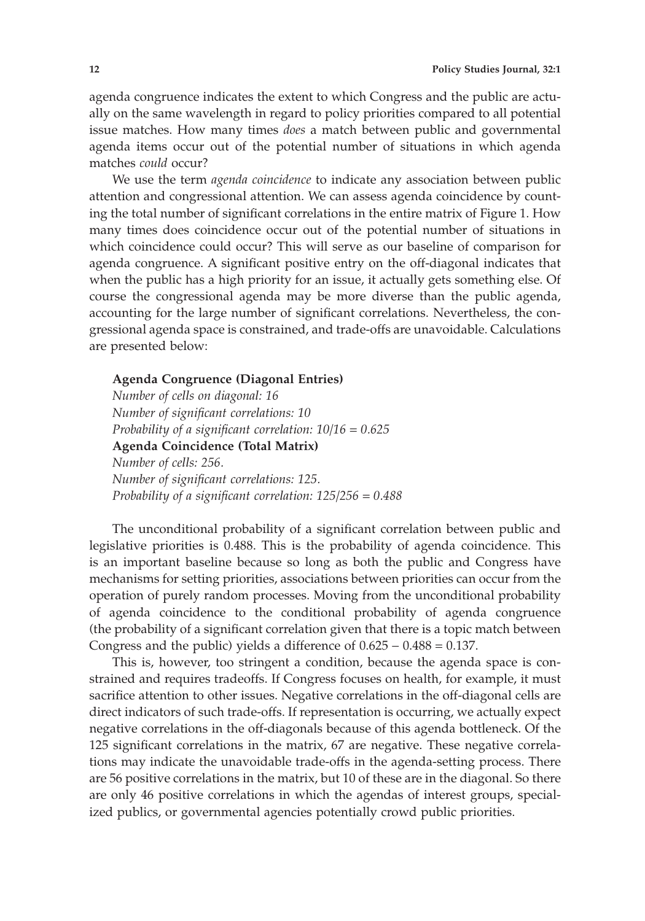agenda congruence indicates the extent to which Congress and the public are actually on the same wavelength in regard to policy priorities compared to all potential issue matches. How many times *does* a match between public and governmental agenda items occur out of the potential number of situations in which agenda matches *could* occur?

We use the term *agenda coincidence* to indicate any association between public attention and congressional attention. We can assess agenda coincidence by counting the total number of significant correlations in the entire matrix of Figure 1. How many times does coincidence occur out of the potential number of situations in which coincidence could occur? This will serve as our baseline of comparison for agenda congruence. A significant positive entry on the off-diagonal indicates that when the public has a high priority for an issue, it actually gets something else. Of course the congressional agenda may be more diverse than the public agenda, accounting for the large number of significant correlations. Nevertheless, the congressional agenda space is constrained, and trade-offs are unavoidable. Calculations are presented below:

#### **Agenda Congruence (Diagonal Entries)**

*Number of cells on diagonal: 16 Number of significant correlations: 10 Probability of a significant correlation:*  $10/16 = 0.625$ **Agenda Coincidence (Total Matrix)** *Number of cells: 256. Number of significant correlations: 125. Probability of a significant correlation:*  $125/256 = 0.488$ 

The unconditional probability of a significant correlation between public and legislative priorities is 0.488. This is the probability of agenda coincidence. This is an important baseline because so long as both the public and Congress have mechanisms for setting priorities, associations between priorities can occur from the operation of purely random processes. Moving from the unconditional probability of agenda coincidence to the conditional probability of agenda congruence (the probability of a significant correlation given that there is a topic match between Congress and the public) yields a difference of  $0.625 - 0.488 = 0.137$ .

This is, however, too stringent a condition, because the agenda space is constrained and requires tradeoffs. If Congress focuses on health, for example, it must sacrifice attention to other issues. Negative correlations in the off-diagonal cells are direct indicators of such trade-offs. If representation is occurring, we actually expect negative correlations in the off-diagonals because of this agenda bottleneck. Of the 125 significant correlations in the matrix, 67 are negative. These negative correlations may indicate the unavoidable trade-offs in the agenda-setting process. There are 56 positive correlations in the matrix, but 10 of these are in the diagonal. So there are only 46 positive correlations in which the agendas of interest groups, specialized publics, or governmental agencies potentially crowd public priorities.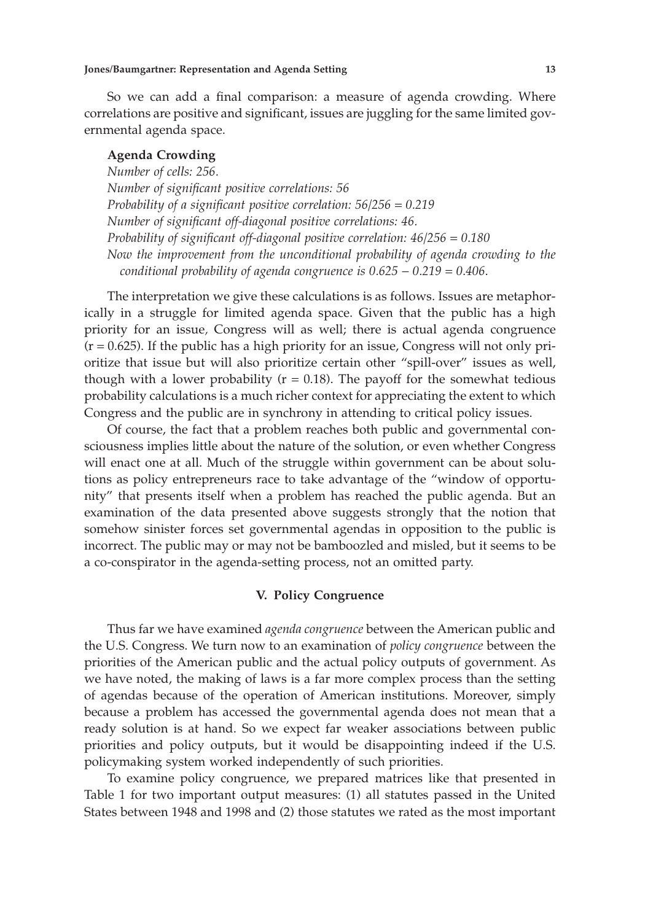So we can add a final comparison: a measure of agenda crowding. Where correlations are positive and significant, issues are juggling for the same limited governmental agenda space.

# **Agenda Crowding**

*Number of cells: 256. Number of significant positive correlations: 56 Probability of a significant positive correlation: 56/256 = 0.219 Number of significant off-diagonal positive correlations: 46. Probability of significant off-diagonal positive correlation: 46/256 = 0.180 Now the improvement from the unconditional probability of agenda crowding to the conditional probability of agenda congruence is*  $0.625 - 0.219 = 0.406$ .

The interpretation we give these calculations is as follows. Issues are metaphorically in a struggle for limited agenda space. Given that the public has a high priority for an issue*,* Congress will as well; there is actual agenda congruence  $(r = 0.625)$ . If the public has a high priority for an issue, Congress will not only prioritize that issue but will also prioritize certain other "spill-over" issues as well, though with a lower probability ( $r = 0.18$ ). The payoff for the somewhat tedious probability calculations is a much richer context for appreciating the extent to which Congress and the public are in synchrony in attending to critical policy issues.

Of course, the fact that a problem reaches both public and governmental consciousness implies little about the nature of the solution, or even whether Congress will enact one at all. Much of the struggle within government can be about solutions as policy entrepreneurs race to take advantage of the "window of opportunity" that presents itself when a problem has reached the public agenda. But an examination of the data presented above suggests strongly that the notion that somehow sinister forces set governmental agendas in opposition to the public is incorrect. The public may or may not be bamboozled and misled, but it seems to be a co-conspirator in the agenda-setting process, not an omitted party.

## **V. Policy Congruence**

Thus far we have examined *agenda congruence* between the American public and the U.S. Congress. We turn now to an examination of *policy congruence* between the priorities of the American public and the actual policy outputs of government. As we have noted, the making of laws is a far more complex process than the setting of agendas because of the operation of American institutions. Moreover, simply because a problem has accessed the governmental agenda does not mean that a ready solution is at hand. So we expect far weaker associations between public priorities and policy outputs, but it would be disappointing indeed if the U.S. policymaking system worked independently of such priorities.

To examine policy congruence, we prepared matrices like that presented in Table 1 for two important output measures: (1) all statutes passed in the United States between 1948 and 1998 and (2) those statutes we rated as the most important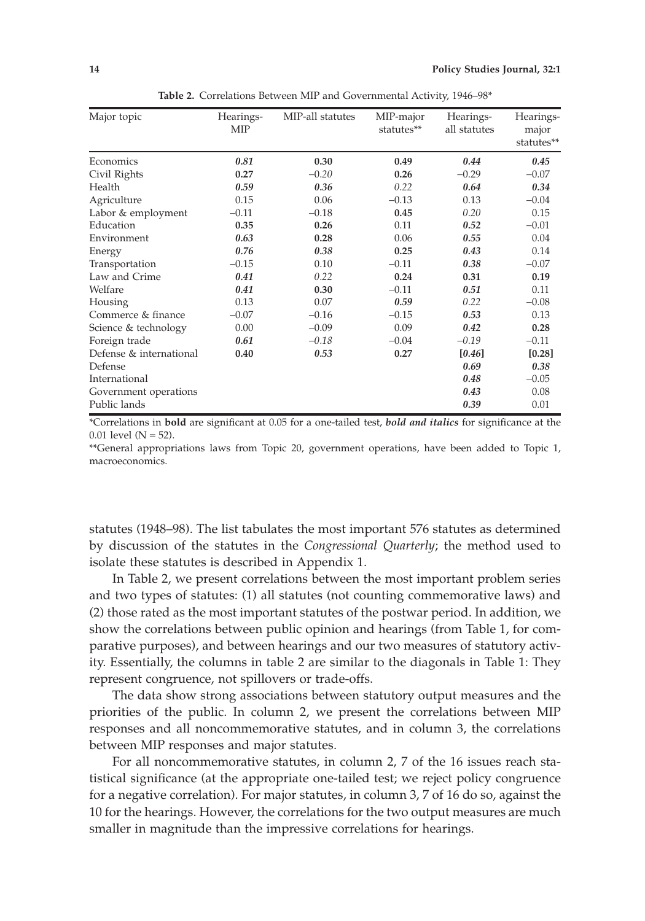| Major topic             | Hearings-<br><b>MIP</b> | MIP-all statutes | MIP-major<br>statutes** | Hearings-<br>all statutes | Hearings-<br>major<br>statutes** |
|-------------------------|-------------------------|------------------|-------------------------|---------------------------|----------------------------------|
| Economics               | 0.81                    | 0.30             | 0.49                    | 0.44                      | 0.45                             |
| Civil Rights            | 0.27                    | $-0.20$          | 0.26                    | $-0.29$                   | $-0.07$                          |
| Health                  | 0.59                    | 0.36             | 0.22                    | 0.64                      | 0.34                             |
| Agriculture             | 0.15                    | 0.06             | $-0.13$                 | 0.13                      | $-0.04$                          |
| Labor & employment      | $-0.11$                 | $-0.18$          | 0.45                    | 0.20                      | 0.15                             |
| Education               | 0.35                    | 0.26             | 0.11                    | 0.52                      | $-0.01$                          |
| Environment             | 0.63                    | 0.28             | 0.06                    | 0.55                      | 0.04                             |
| Energy                  | 0.76                    | 0.38             | 0.25                    | 0.43                      | 0.14                             |
| Transportation          | $-0.15$                 | 0.10             | $-0.11$                 | 0.38                      | $-0.07$                          |
| Law and Crime           | 0.41                    | 0.22             | 0.24                    | 0.31                      | 0.19                             |
| Welfare                 | 0.41                    | 0.30             | $-0.11$                 | 0.51                      | 0.11                             |
| Housing                 | 0.13                    | 0.07             | 0.59                    | 0.22                      | $-0.08$                          |
| Commerce & finance      | $-0.07$                 | $-0.16$          | $-0.15$                 | 0.53                      | 0.13                             |
| Science & technology    | 0.00                    | $-0.09$          | 0.09                    | 0.42                      | 0.28                             |
| Foreign trade           | 0.61                    | $-0.18$          | $-0.04$                 | $-0.19$                   | $-0.11$                          |
| Defense & international | 0.40                    | 0.53             | 0.27                    | [0.46]                    | [0.28]                           |
| Defense                 |                         |                  |                         | 0.69                      | 0.38                             |
| International           |                         |                  |                         | 0.48                      | $-0.05$                          |
| Government operations   |                         |                  |                         | 0.43                      | 0.08                             |
| Public lands            |                         |                  |                         | 0.39                      | 0.01                             |

**Table 2.** Correlations Between MIP and Governmental Activity, 1946–98\*

\*Correlations in **bold** are significant at 0.05 for a one-tailed test, *bold and italics* for significance at the 0.01 level  $(N = 52)$ .

\*\*General appropriations laws from Topic 20, government operations, have been added to Topic 1, macroeconomics.

statutes (1948–98). The list tabulates the most important 576 statutes as determined by discussion of the statutes in the *Congressional Quarterly*; the method used to isolate these statutes is described in Appendix 1.

In Table 2, we present correlations between the most important problem series and two types of statutes: (1) all statutes (not counting commemorative laws) and (2) those rated as the most important statutes of the postwar period. In addition, we show the correlations between public opinion and hearings (from Table 1, for comparative purposes), and between hearings and our two measures of statutory activity. Essentially, the columns in table 2 are similar to the diagonals in Table 1: They represent congruence, not spillovers or trade-offs.

The data show strong associations between statutory output measures and the priorities of the public. In column 2, we present the correlations between MIP responses and all noncommemorative statutes, and in column 3, the correlations between MIP responses and major statutes.

For all noncommemorative statutes, in column 2, 7 of the 16 issues reach statistical significance (at the appropriate one-tailed test; we reject policy congruence for a negative correlation). For major statutes, in column 3, 7 of 16 do so, against the 10 for the hearings. However, the correlations for the two output measures are much smaller in magnitude than the impressive correlations for hearings.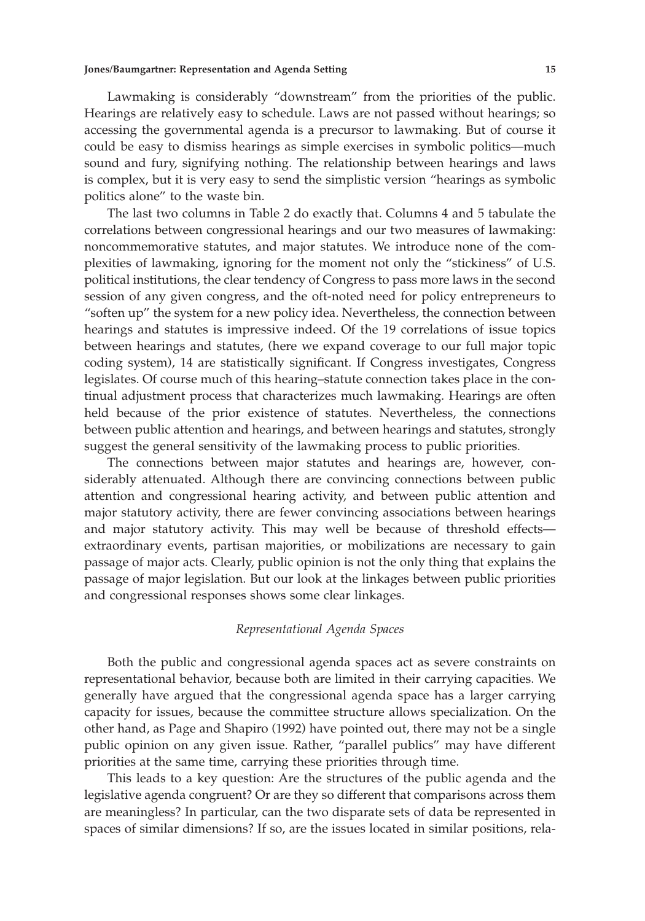Lawmaking is considerably "downstream" from the priorities of the public. Hearings are relatively easy to schedule. Laws are not passed without hearings; so accessing the governmental agenda is a precursor to lawmaking. But of course it could be easy to dismiss hearings as simple exercises in symbolic politics—much sound and fury, signifying nothing. The relationship between hearings and laws is complex, but it is very easy to send the simplistic version "hearings as symbolic politics alone" to the waste bin.

The last two columns in Table 2 do exactly that. Columns 4 and 5 tabulate the correlations between congressional hearings and our two measures of lawmaking: noncommemorative statutes, and major statutes. We introduce none of the complexities of lawmaking, ignoring for the moment not only the "stickiness" of U.S. political institutions, the clear tendency of Congress to pass more laws in the second session of any given congress, and the oft-noted need for policy entrepreneurs to "soften up" the system for a new policy idea. Nevertheless, the connection between hearings and statutes is impressive indeed. Of the 19 correlations of issue topics between hearings and statutes, (here we expand coverage to our full major topic coding system), 14 are statistically significant. If Congress investigates, Congress legislates. Of course much of this hearing–statute connection takes place in the continual adjustment process that characterizes much lawmaking. Hearings are often held because of the prior existence of statutes. Nevertheless, the connections between public attention and hearings, and between hearings and statutes, strongly suggest the general sensitivity of the lawmaking process to public priorities.

The connections between major statutes and hearings are, however, considerably attenuated. Although there are convincing connections between public attention and congressional hearing activity, and between public attention and major statutory activity, there are fewer convincing associations between hearings and major statutory activity. This may well be because of threshold effects extraordinary events, partisan majorities, or mobilizations are necessary to gain passage of major acts. Clearly, public opinion is not the only thing that explains the passage of major legislation. But our look at the linkages between public priorities and congressional responses shows some clear linkages.

## *Representational Agenda Spaces*

Both the public and congressional agenda spaces act as severe constraints on representational behavior, because both are limited in their carrying capacities. We generally have argued that the congressional agenda space has a larger carrying capacity for issues, because the committee structure allows specialization. On the other hand, as Page and Shapiro (1992) have pointed out, there may not be a single public opinion on any given issue. Rather, "parallel publics" may have different priorities at the same time, carrying these priorities through time.

This leads to a key question: Are the structures of the public agenda and the legislative agenda congruent? Or are they so different that comparisons across them are meaningless? In particular, can the two disparate sets of data be represented in spaces of similar dimensions? If so, are the issues located in similar positions, rela-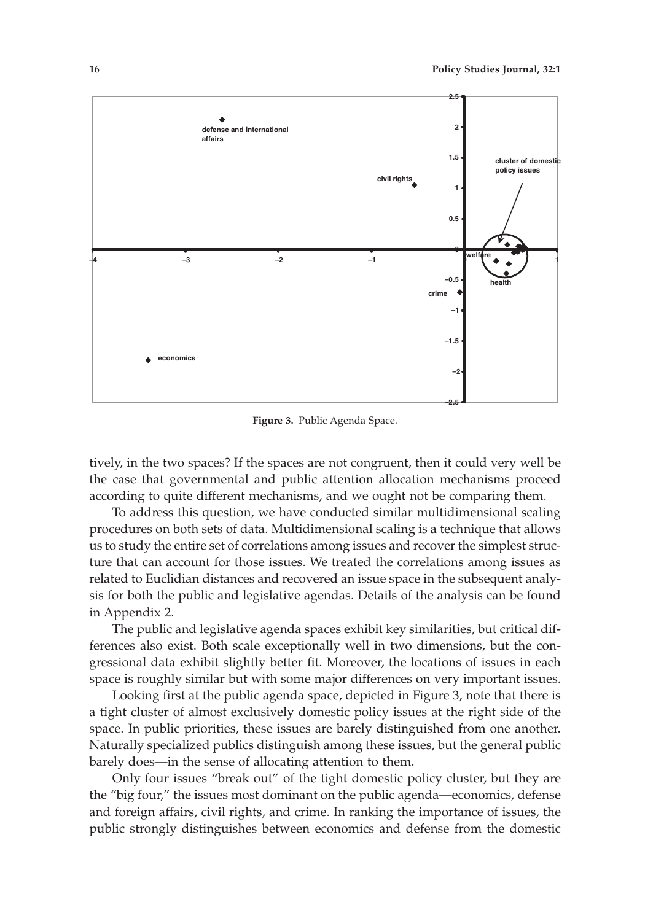

**Figure 3.** Public Agenda Space.

tively, in the two spaces? If the spaces are not congruent, then it could very well be the case that governmental and public attention allocation mechanisms proceed according to quite different mechanisms, and we ought not be comparing them.

To address this question, we have conducted similar multidimensional scaling procedures on both sets of data. Multidimensional scaling is a technique that allows us to study the entire set of correlations among issues and recover the simplest structure that can account for those issues. We treated the correlations among issues as related to Euclidian distances and recovered an issue space in the subsequent analysis for both the public and legislative agendas. Details of the analysis can be found in Appendix 2.

The public and legislative agenda spaces exhibit key similarities, but critical differences also exist. Both scale exceptionally well in two dimensions, but the congressional data exhibit slightly better fit. Moreover, the locations of issues in each space is roughly similar but with some major differences on very important issues.

Looking first at the public agenda space, depicted in Figure 3, note that there is a tight cluster of almost exclusively domestic policy issues at the right side of the space. In public priorities, these issues are barely distinguished from one another. Naturally specialized publics distinguish among these issues, but the general public barely does—in the sense of allocating attention to them.

Only four issues "break out" of the tight domestic policy cluster, but they are the "big four," the issues most dominant on the public agenda—economics, defense and foreign affairs, civil rights, and crime. In ranking the importance of issues, the public strongly distinguishes between economics and defense from the domestic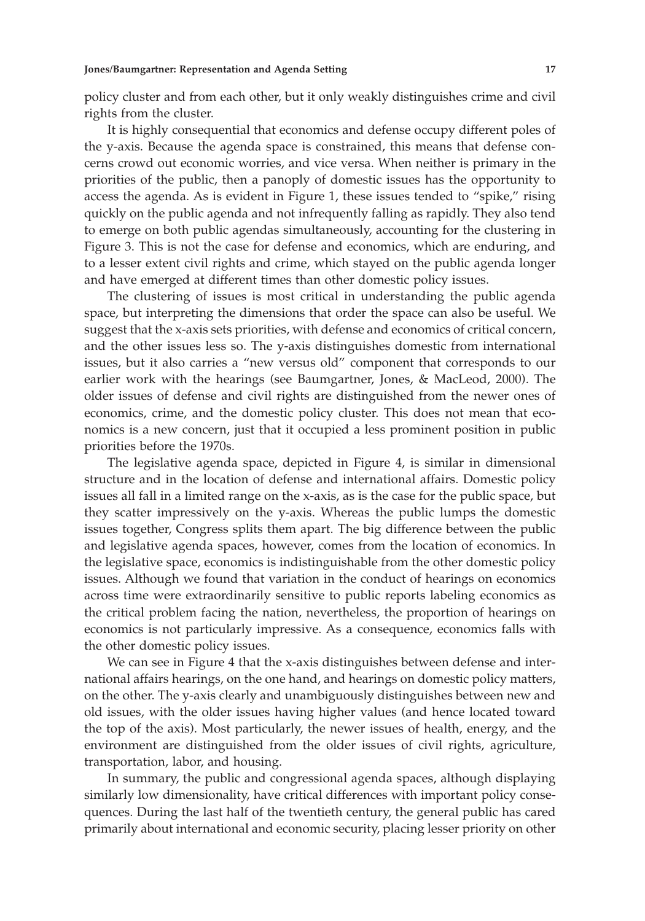policy cluster and from each other, but it only weakly distinguishes crime and civil rights from the cluster.

It is highly consequential that economics and defense occupy different poles of the y-axis. Because the agenda space is constrained, this means that defense concerns crowd out economic worries, and vice versa. When neither is primary in the priorities of the public, then a panoply of domestic issues has the opportunity to access the agenda. As is evident in Figure 1, these issues tended to "spike," rising quickly on the public agenda and not infrequently falling as rapidly. They also tend to emerge on both public agendas simultaneously, accounting for the clustering in Figure 3. This is not the case for defense and economics, which are enduring, and to a lesser extent civil rights and crime, which stayed on the public agenda longer and have emerged at different times than other domestic policy issues.

The clustering of issues is most critical in understanding the public agenda space, but interpreting the dimensions that order the space can also be useful. We suggest that the x-axis sets priorities, with defense and economics of critical concern, and the other issues less so. The y-axis distinguishes domestic from international issues, but it also carries a "new versus old" component that corresponds to our earlier work with the hearings (see Baumgartner, Jones, & MacLeod, 2000). The older issues of defense and civil rights are distinguished from the newer ones of economics, crime, and the domestic policy cluster. This does not mean that economics is a new concern, just that it occupied a less prominent position in public priorities before the 1970s.

The legislative agenda space, depicted in Figure 4, is similar in dimensional structure and in the location of defense and international affairs. Domestic policy issues all fall in a limited range on the x-axis, as is the case for the public space, but they scatter impressively on the y-axis. Whereas the public lumps the domestic issues together, Congress splits them apart. The big difference between the public and legislative agenda spaces, however, comes from the location of economics. In the legislative space, economics is indistinguishable from the other domestic policy issues. Although we found that variation in the conduct of hearings on economics across time were extraordinarily sensitive to public reports labeling economics as the critical problem facing the nation, nevertheless, the proportion of hearings on economics is not particularly impressive. As a consequence, economics falls with the other domestic policy issues.

We can see in Figure 4 that the x-axis distinguishes between defense and international affairs hearings, on the one hand, and hearings on domestic policy matters, on the other. The y-axis clearly and unambiguously distinguishes between new and old issues, with the older issues having higher values (and hence located toward the top of the axis). Most particularly, the newer issues of health, energy, and the environment are distinguished from the older issues of civil rights, agriculture, transportation, labor, and housing.

In summary, the public and congressional agenda spaces, although displaying similarly low dimensionality, have critical differences with important policy consequences. During the last half of the twentieth century, the general public has cared primarily about international and economic security, placing lesser priority on other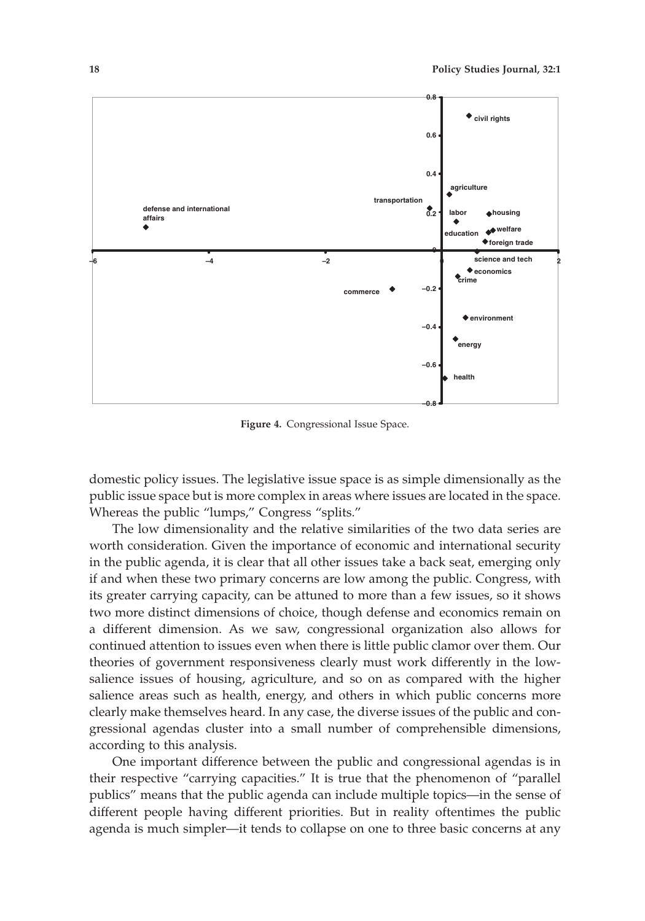

**Figure 4.** Congressional Issue Space.

domestic policy issues. The legislative issue space is as simple dimensionally as the public issue space but is more complex in areas where issues are located in the space. Whereas the public "lumps," Congress "splits."

The low dimensionality and the relative similarities of the two data series are worth consideration. Given the importance of economic and international security in the public agenda, it is clear that all other issues take a back seat, emerging only if and when these two primary concerns are low among the public. Congress, with its greater carrying capacity, can be attuned to more than a few issues, so it shows two more distinct dimensions of choice, though defense and economics remain on a different dimension. As we saw, congressional organization also allows for continued attention to issues even when there is little public clamor over them. Our theories of government responsiveness clearly must work differently in the lowsalience issues of housing, agriculture, and so on as compared with the higher salience areas such as health, energy, and others in which public concerns more clearly make themselves heard. In any case, the diverse issues of the public and congressional agendas cluster into a small number of comprehensible dimensions, according to this analysis.

One important difference between the public and congressional agendas is in their respective "carrying capacities." It is true that the phenomenon of "parallel publics" means that the public agenda can include multiple topics—in the sense of different people having different priorities. But in reality oftentimes the public agenda is much simpler—it tends to collapse on one to three basic concerns at any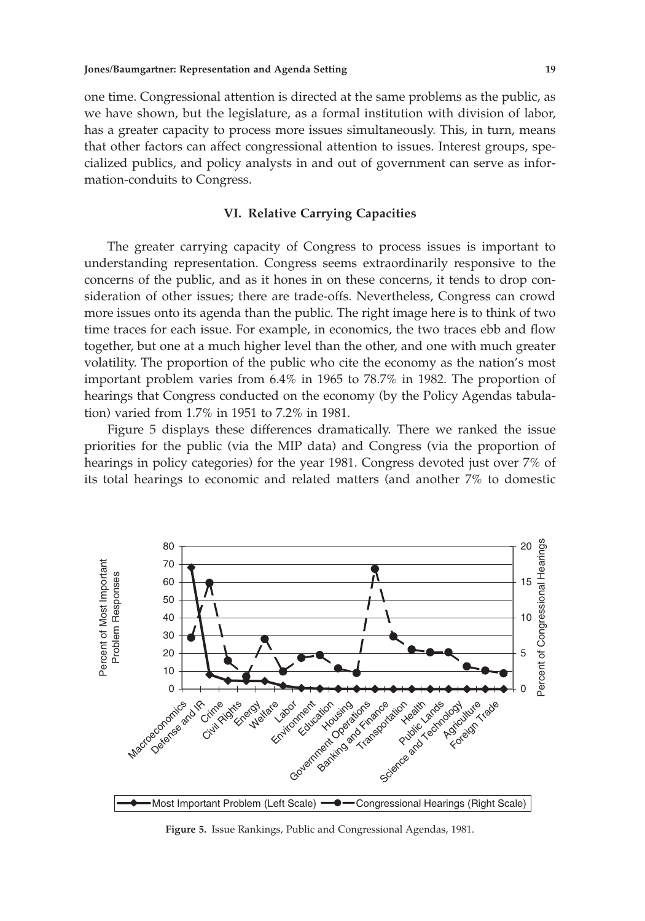one time. Congressional attention is directed at the same problems as the public, as we have shown, but the legislature, as a formal institution with division of labor, has a greater capacity to process more issues simultaneously. This, in turn, means that other factors can affect congressional attention to issues. Interest groups, specialized publics, and policy analysts in and out of government can serve as information-conduits to Congress.

## **VI. Relative Carrying Capacities**

The greater carrying capacity of Congress to process issues is important to understanding representation. Congress seems extraordinarily responsive to the concerns of the public, and as it hones in on these concerns, it tends to drop consideration of other issues; there are trade-offs. Nevertheless, Congress can crowd more issues onto its agenda than the public. The right image here is to think of two time traces for each issue. For example, in economics, the two traces ebb and flow together, but one at a much higher level than the other, and one with much greater volatility. The proportion of the public who cite the economy as the nation's most important problem varies from 6.4% in 1965 to 78.7% in 1982. The proportion of hearings that Congress conducted on the economy (by the Policy Agendas tabulation) varied from 1.7% in 1951 to 7.2% in 1981.

Figure 5 displays these differences dramatically. There we ranked the issue priorities for the public (via the MIP data) and Congress (via the proportion of hearings in policy categories) for the year 1981. Congress devoted just over 7% of its total hearings to economic and related matters (and another 7% to domestic



**Figure 5.** Issue Rankings, Public and Congressional Agendas, 1981.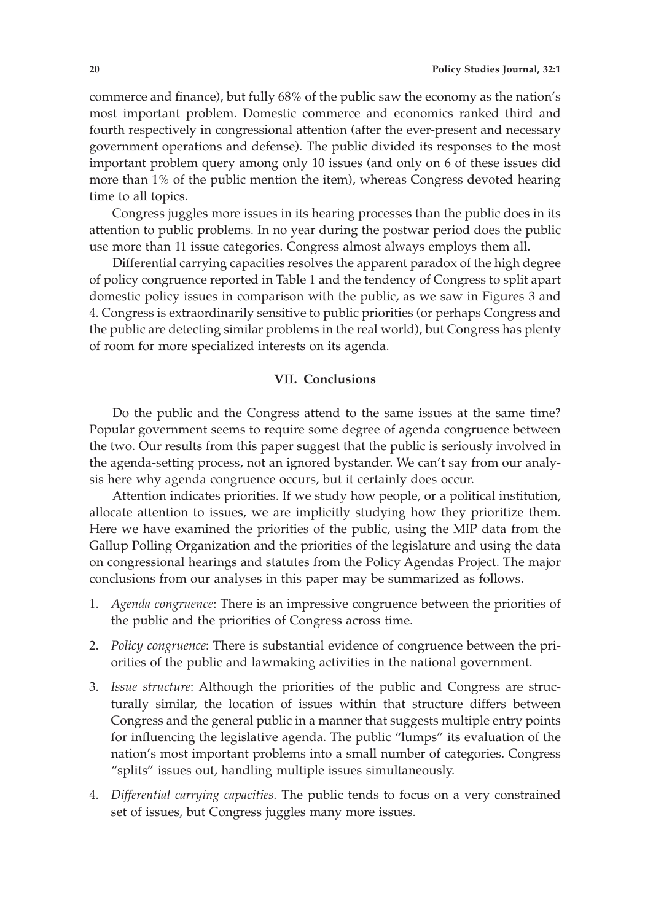commerce and finance), but fully 68% of the public saw the economy as the nation's most important problem. Domestic commerce and economics ranked third and fourth respectively in congressional attention (after the ever-present and necessary government operations and defense). The public divided its responses to the most important problem query among only 10 issues (and only on 6 of these issues did more than 1% of the public mention the item), whereas Congress devoted hearing time to all topics.

Congress juggles more issues in its hearing processes than the public does in its attention to public problems. In no year during the postwar period does the public use more than 11 issue categories. Congress almost always employs them all.

Differential carrying capacities resolves the apparent paradox of the high degree of policy congruence reported in Table 1 and the tendency of Congress to split apart domestic policy issues in comparison with the public, as we saw in Figures 3 and 4. Congress is extraordinarily sensitive to public priorities (or perhaps Congress and the public are detecting similar problems in the real world), but Congress has plenty of room for more specialized interests on its agenda.

#### **VII. Conclusions**

Do the public and the Congress attend to the same issues at the same time? Popular government seems to require some degree of agenda congruence between the two. Our results from this paper suggest that the public is seriously involved in the agenda-setting process, not an ignored bystander. We can't say from our analysis here why agenda congruence occurs, but it certainly does occur.

Attention indicates priorities. If we study how people, or a political institution, allocate attention to issues, we are implicitly studying how they prioritize them. Here we have examined the priorities of the public, using the MIP data from the Gallup Polling Organization and the priorities of the legislature and using the data on congressional hearings and statutes from the Policy Agendas Project. The major conclusions from our analyses in this paper may be summarized as follows.

- 1. *Agenda congruence*: There is an impressive congruence between the priorities of the public and the priorities of Congress across time.
- 2. *Policy congruence*: There is substantial evidence of congruence between the priorities of the public and lawmaking activities in the national government.
- 3. *Issue structure*: Although the priorities of the public and Congress are structurally similar, the location of issues within that structure differs between Congress and the general public in a manner that suggests multiple entry points for influencing the legislative agenda. The public "lumps" its evaluation of the nation's most important problems into a small number of categories. Congress "splits" issues out, handling multiple issues simultaneously.
- 4. *Differential carrying capacities*. The public tends to focus on a very constrained set of issues, but Congress juggles many more issues.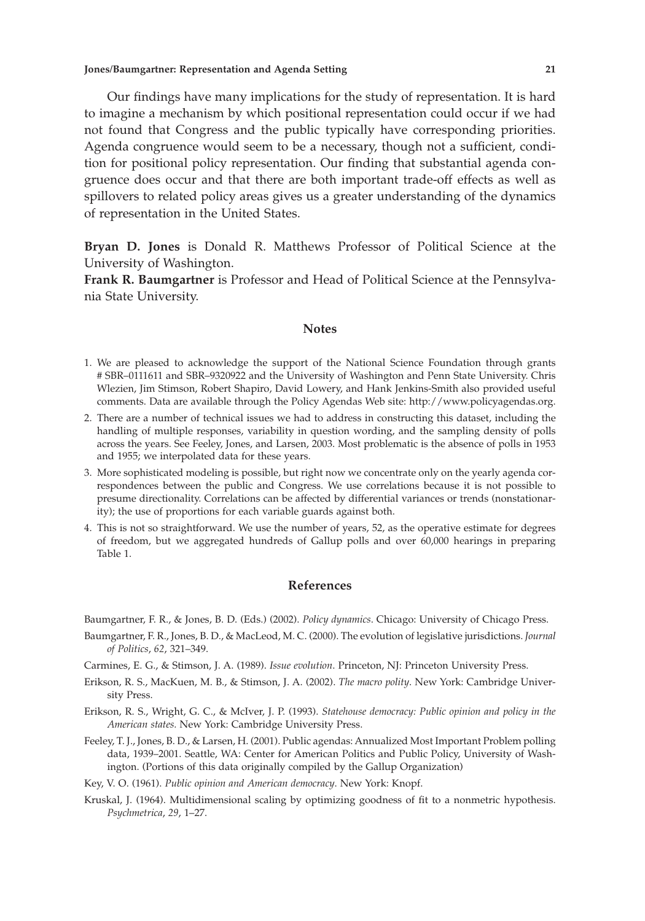**Jones/Baumgartner: Representation and Agenda Setting 21**

Our findings have many implications for the study of representation. It is hard to imagine a mechanism by which positional representation could occur if we had not found that Congress and the public typically have corresponding priorities. Agenda congruence would seem to be a necessary, though not a sufficient, condition for positional policy representation. Our finding that substantial agenda congruence does occur and that there are both important trade-off effects as well as spillovers to related policy areas gives us a greater understanding of the dynamics of representation in the United States.

**Bryan D. Jones** is Donald R. Matthews Professor of Political Science at the University of Washington.

**Frank R. Baumgartner** is Professor and Head of Political Science at the Pennsylvania State University.

#### **Notes**

- 1. We are pleased to acknowledge the support of the National Science Foundation through grants # SBR–0111611 and SBR–9320922 and the University of Washington and Penn State University. Chris Wlezien, Jim Stimson, Robert Shapiro, David Lowery, and Hank Jenkins-Smith also provided useful comments. Data are available through the Policy Agendas Web site: [http://www.policyagendas.org.](http://www.policyagendas.org)
- 2. There are a number of technical issues we had to address in constructing this dataset, including the handling of multiple responses, variability in question wording, and the sampling density of polls across the years. See Feeley, Jones, and Larsen, 2003. Most problematic is the absence of polls in 1953 and 1955; we interpolated data for these years.
- 3. More sophisticated modeling is possible, but right now we concentrate only on the yearly agenda correspondences between the public and Congress. We use correlations because it is not possible to presume directionality. Correlations can be affected by differential variances or trends (nonstationarity); the use of proportions for each variable guards against both.
- 4. This is not so straightforward. We use the number of years, 52, as the operative estimate for degrees of freedom, but we aggregated hundreds of Gallup polls and over 60,000 hearings in preparing Table 1.

#### **References**

Baumgartner, F. R., & Jones, B. D. (Eds.) (2002). *Policy dynamics*. Chicago: University of Chicago Press.

- Baumgartner, F. R., Jones, B. D., & MacLeod, M. C. (2000). The evolution of legislative jurisdictions. *Journal of Politics*, *62*, 321–349.
- Carmines, E. G., & Stimson, J. A. (1989). *Issue evolution*. Princeton, NJ: Princeton University Press.
- Erikson, R. S., MacKuen, M. B., & Stimson, J. A. (2002). *The macro polity*. New York: Cambridge University Press.
- Erikson, R. S., Wright, G. C., & McIver, J. P. (1993). *Statehouse democracy: Public opinion and policy in the American states.* New York: Cambridge University Press.
- Feeley, T. J., Jones, B. D., & Larsen, H. (2001). Public agendas: Annualized Most Important Problem polling data, 1939–2001. Seattle, WA: Center for American Politics and Public Policy, University of Washington. (Portions of this data originally compiled by the Gallup Organization)
- Key, V. O. (1961). *Public opinion and American democracy*. New York: Knopf.
- Kruskal, J. (1964). Multidimensional scaling by optimizing goodness of fit to a nonmetric hypothesis. *Psychmetrica*, *29*, 1–27.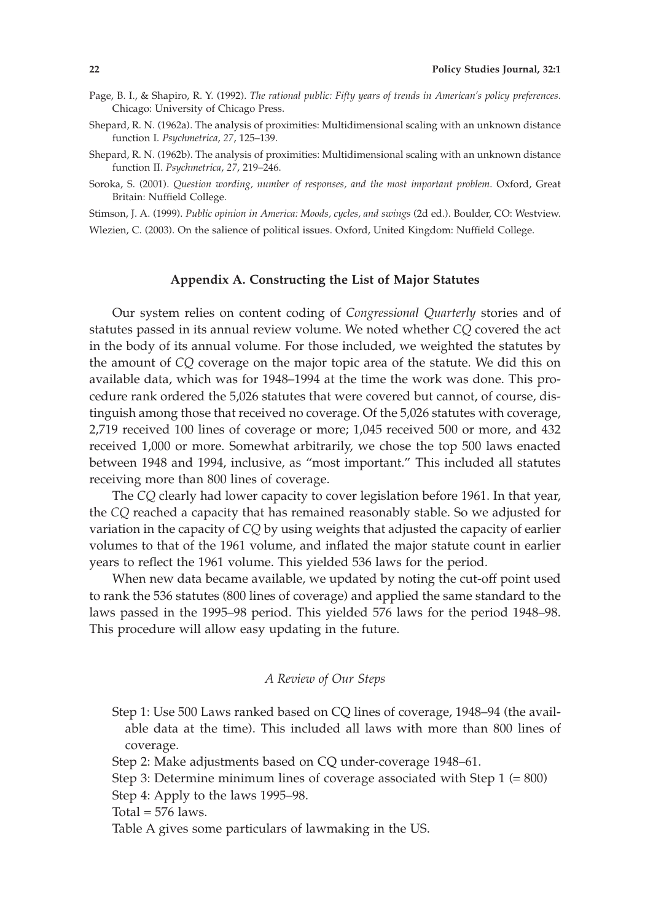- Page, B. I., & Shapiro, R. Y. (1992). *The rational public: Fifty years of trends in American's policy preferences.* Chicago: University of Chicago Press.
- Shepard, R. N. (1962a). The analysis of proximities: Multidimensional scaling with an unknown distance function I. *Psychmetrica*, *27*, 125–139.
- Shepard, R. N. (1962b). The analysis of proximities: Multidimensional scaling with an unknown distance function II. *Psychmetrica*, *27*, 219–246.
- Soroka, S. (2001). *Question wording, number of responses, and the most important problem*. Oxford, Great Britain: Nuffield College.

Stimson, J. A. (1999). *Public opinion in America: Moods, cycles, and swings* (2d ed.). Boulder, CO: Westview.

Wlezien, C. (2003). On the salience of political issues. Oxford, United Kingdom: Nuffield College.

# **Appendix A. Constructing the List of Major Statutes**

Our system relies on content coding of *Congressional Quarterly* stories and of statutes passed in its annual review volume. We noted whether *CQ* covered the act in the body of its annual volume. For those included, we weighted the statutes by the amount of *CQ* coverage on the major topic area of the statute. We did this on available data, which was for 1948–1994 at the time the work was done. This procedure rank ordered the 5,026 statutes that were covered but cannot, of course, distinguish among those that received no coverage. Of the 5,026 statutes with coverage, 2,719 received 100 lines of coverage or more; 1,045 received 500 or more, and 432 received 1,000 or more. Somewhat arbitrarily, we chose the top 500 laws enacted between 1948 and 1994, inclusive, as "most important." This included all statutes receiving more than 800 lines of coverage.

The *CQ* clearly had lower capacity to cover legislation before 1961. In that year, the *CQ* reached a capacity that has remained reasonably stable. So we adjusted for variation in the capacity of *CQ* by using weights that adjusted the capacity of earlier volumes to that of the 1961 volume, and inflated the major statute count in earlier years to reflect the 1961 volume. This yielded 536 laws for the period.

When new data became available, we updated by noting the cut-off point used to rank the 536 statutes (800 lines of coverage) and applied the same standard to the laws passed in the 1995–98 period. This yielded 576 laws for the period 1948–98. This procedure will allow easy updating in the future.

#### *A Review of Our Steps*

- Step 1: Use 500 Laws ranked based on CQ lines of coverage, 1948–94 (the available data at the time). This included all laws with more than 800 lines of coverage.
- Step 2: Make adjustments based on CQ under-coverage 1948–61.
- Step 3: Determine minimum lines of coverage associated with Step 1 (= 800)

Step 4: Apply to the laws 1995–98.

- Total  $= 576$  laws.
- Table A gives some particulars of lawmaking in the US.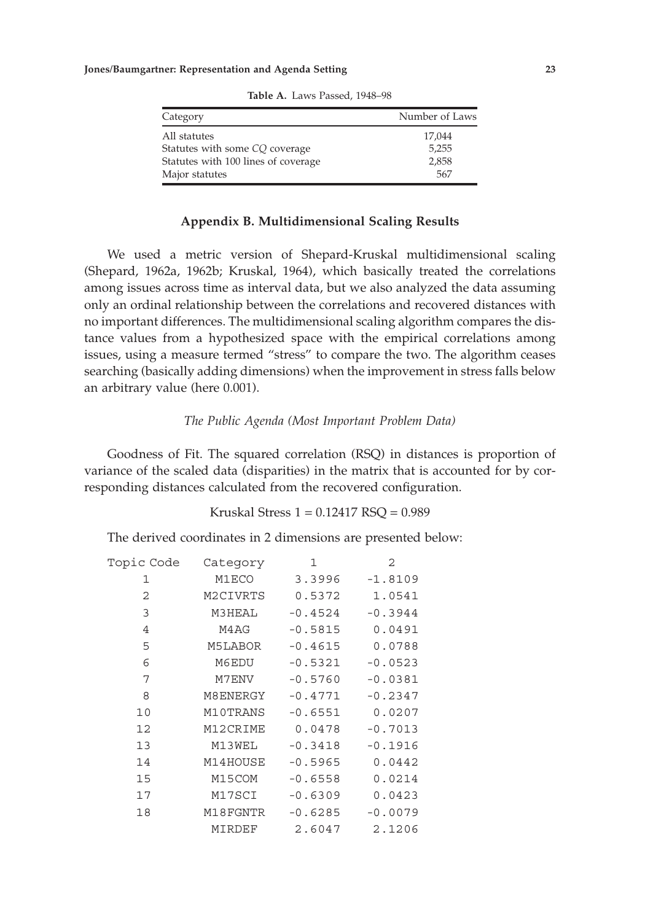| Category                            | Number of Laws |
|-------------------------------------|----------------|
| All statutes                        | 17,044         |
| Statutes with some CQ coverage      | 5,255          |
| Statutes with 100 lines of coverage | 2,858          |
| Major statutes                      | 567            |

**Table A.** Laws Passed, 1948–98

# **Appendix B. Multidimensional Scaling Results**

We used a metric version of Shepard-Kruskal multidimensional scaling (Shepard, 1962a, 1962b; Kruskal, 1964), which basically treated the correlations among issues across time as interval data, but we also analyzed the data assuming only an ordinal relationship between the correlations and recovered distances with no important differences. The multidimensional scaling algorithm compares the distance values from a hypothesized space with the empirical correlations among issues, using a measure termed "stress" to compare the two. The algorithm ceases searching (basically adding dimensions) when the improvement in stress falls below an arbitrary value (here 0.001).

#### *The Public Agenda (Most Important Problem Data)*

Goodness of Fit. The squared correlation (RSQ) in distances is proportion of variance of the scaled data (disparities) in the matrix that is accounted for by corresponding distances calculated from the recovered configuration.

Kruskal Stress 1 = 0.12417 RSQ = 0.989

The derived coordinates in 2 dimensions are presented below:

| Topic Code     | Category | 1         | 2         |
|----------------|----------|-----------|-----------|
| 1              | M1ECO    | 3.3996    | $-1.8109$ |
| $\overline{2}$ | M2CIVRTS | 0.5372    | 1.0541    |
| 3              | M3HEAL   | $-0.4524$ | $-0.3944$ |
| 4              | M4AG     | $-0.5815$ | 0.0491    |
| 5              | M5LABOR  | $-0.4615$ | 0.0788    |
| 6              | M6EDU    | $-0.5321$ | $-0.0523$ |
| 7              | M7ENV    | $-0.5760$ | $-0.0381$ |
| 8              | M8ENERGY | $-0.4771$ | $-0.2347$ |
| 10             | M10TRANS | $-0.6551$ | 0.0207    |
| 12             | M12CRIME | 0.0478    | $-0.7013$ |
| 13             | M13WEL   | $-0.3418$ | $-0.1916$ |
| 14             | M14HOUSE | $-0.5965$ | 0.0442    |
| 15             | M15COM   | $-0.6558$ | 0.0214    |
| 17             | M17SCI   | $-0.6309$ | 0.0423    |
| 18             | M18FGNTR | $-0.6285$ | $-0.0079$ |
|                | MIRDEF   | 2.6047    | 2.1206    |